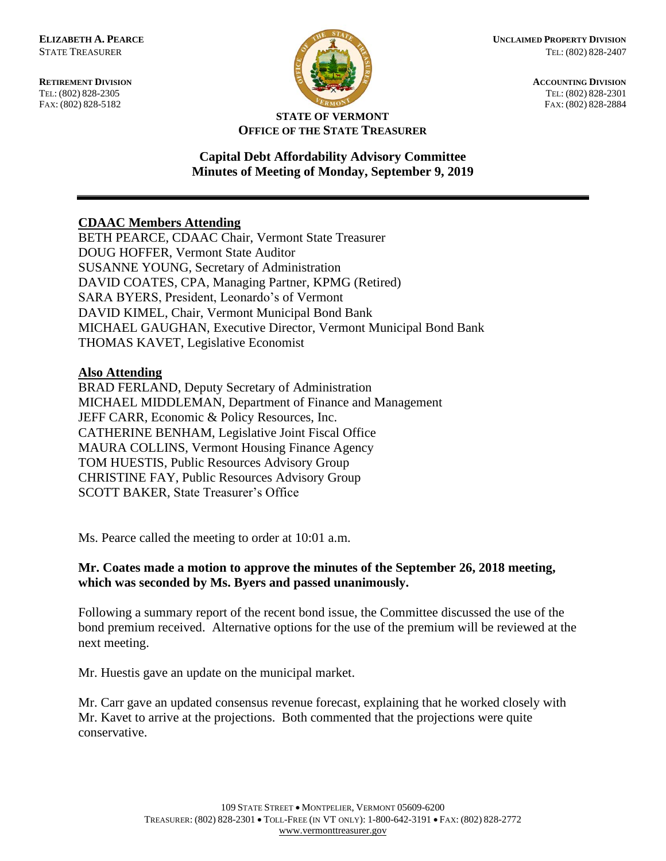FAX: (802) 828-5182



**RETIREMENT DIVISION ACCOUNTING DIVISION** TEL: (802) 828-2305<br>
FAX: (802) 828-2305<br>
FAX: (802) 828-2884<br>
TEL: (802) 828-2884

#### **STATE OF VERMONT OFFICE OF THE STATE TREASURER**

### **Capital Debt Affordability Advisory Committee Minutes of Meeting of Monday, September 9, 2019**

# **CDAAC Members Attending**

BETH PEARCE, CDAAC Chair, Vermont State Treasurer DOUG HOFFER, Vermont State Auditor SUSANNE YOUNG, Secretary of Administration DAVID COATES, CPA, Managing Partner, KPMG (Retired) SARA BYERS, President, Leonardo's of Vermont DAVID KIMEL, Chair, Vermont Municipal Bond Bank MICHAEL GAUGHAN, Executive Director, Vermont Municipal Bond Bank THOMAS KAVET, Legislative Economist

#### **Also Attending**

BRAD FERLAND, Deputy Secretary of Administration MICHAEL MIDDLEMAN, Department of Finance and Management JEFF CARR, Economic & Policy Resources, Inc. CATHERINE BENHAM, Legislative Joint Fiscal Office MAURA COLLINS, Vermont Housing Finance Agency TOM HUESTIS, Public Resources Advisory Group CHRISTINE FAY, Public Resources Advisory Group SCOTT BAKER, State Treasurer's Office

Ms. Pearce called the meeting to order at 10:01 a.m.

# **Mr. Coates made a motion to approve the minutes of the September 26, 2018 meeting, which was seconded by Ms. Byers and passed unanimously.**

Following a summary report of the recent bond issue, the Committee discussed the use of the bond premium received. Alternative options for the use of the premium will be reviewed at the next meeting.

Mr. Huestis gave an update on the municipal market.

Mr. Carr gave an updated consensus revenue forecast, explaining that he worked closely with Mr. Kavet to arrive at the projections. Both commented that the projections were quite conservative.